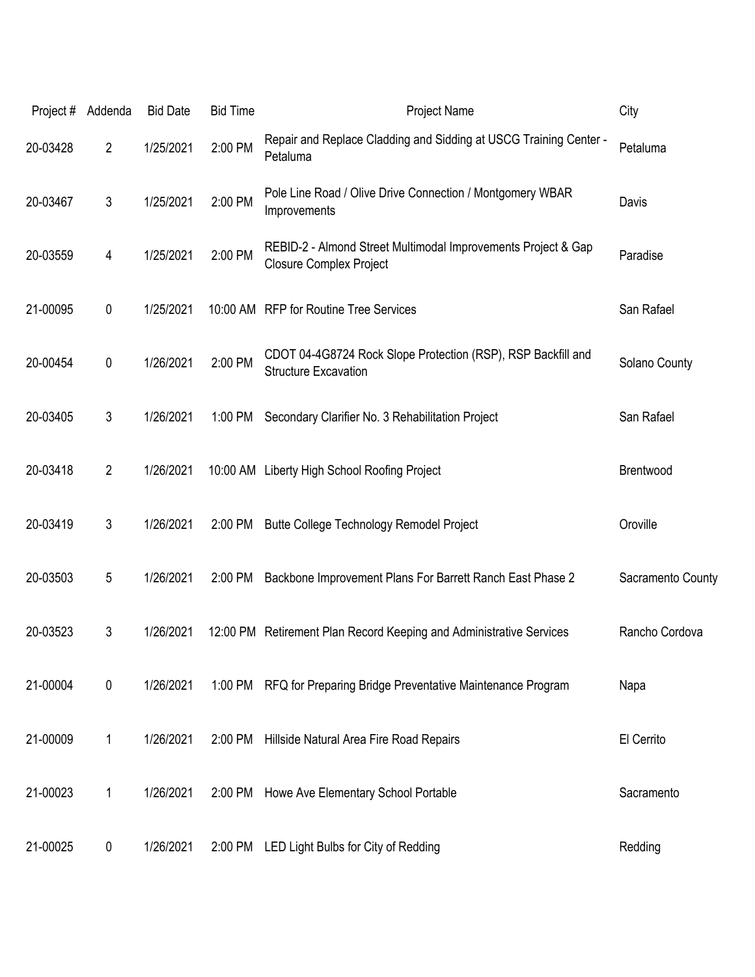| Project# | Addenda        | <b>Bid Date</b> | <b>Bid Time</b> | Project Name                                                                                    | City              |
|----------|----------------|-----------------|-----------------|-------------------------------------------------------------------------------------------------|-------------------|
| 20-03428 | $\overline{2}$ | 1/25/2021       | 2:00 PM         | Repair and Replace Cladding and Sidding at USCG Training Center -<br>Petaluma                   | Petaluma          |
| 20-03467 | 3              | 1/25/2021       | 2:00 PM         | Pole Line Road / Olive Drive Connection / Montgomery WBAR<br>Improvements                       | Davis             |
| 20-03559 | 4              | 1/25/2021       | 2:00 PM         | REBID-2 - Almond Street Multimodal Improvements Project & Gap<br><b>Closure Complex Project</b> | Paradise          |
| 21-00095 | 0              | 1/25/2021       |                 | 10:00 AM RFP for Routine Tree Services                                                          | San Rafael        |
| 20-00454 | 0              | 1/26/2021       | 2:00 PM         | CDOT 04-4G8724 Rock Slope Protection (RSP), RSP Backfill and<br><b>Structure Excavation</b>     | Solano County     |
| 20-03405 | $\mathfrak{Z}$ | 1/26/2021       | 1:00 PM         | Secondary Clarifier No. 3 Rehabilitation Project                                                | San Rafael        |
| 20-03418 | $\overline{2}$ | 1/26/2021       |                 | 10:00 AM Liberty High School Roofing Project                                                    | Brentwood         |
| 20-03419 | 3              | 1/26/2021       | 2:00 PM         | Butte College Technology Remodel Project                                                        | Oroville          |
| 20-03503 | 5              | 1/26/2021       | 2:00 PM         | Backbone Improvement Plans For Barrett Ranch East Phase 2                                       | Sacramento County |
| 20-03523 | 3              | 1/26/2021       |                 | 12:00 PM Retirement Plan Record Keeping and Administrative Services                             | Rancho Cordova    |
| 21-00004 | 0              | 1/26/2021       |                 | 1:00 PM RFQ for Preparing Bridge Preventative Maintenance Program                               | Napa              |
| 21-00009 | 1              | 1/26/2021       | 2:00 PM         | Hillside Natural Area Fire Road Repairs                                                         | El Cerrito        |
| 21-00023 | 1              | 1/26/2021       | 2:00 PM         | Howe Ave Elementary School Portable                                                             | Sacramento        |
| 21-00025 | 0              | 1/26/2021       | 2:00 PM         | LED Light Bulbs for City of Redding                                                             | Redding           |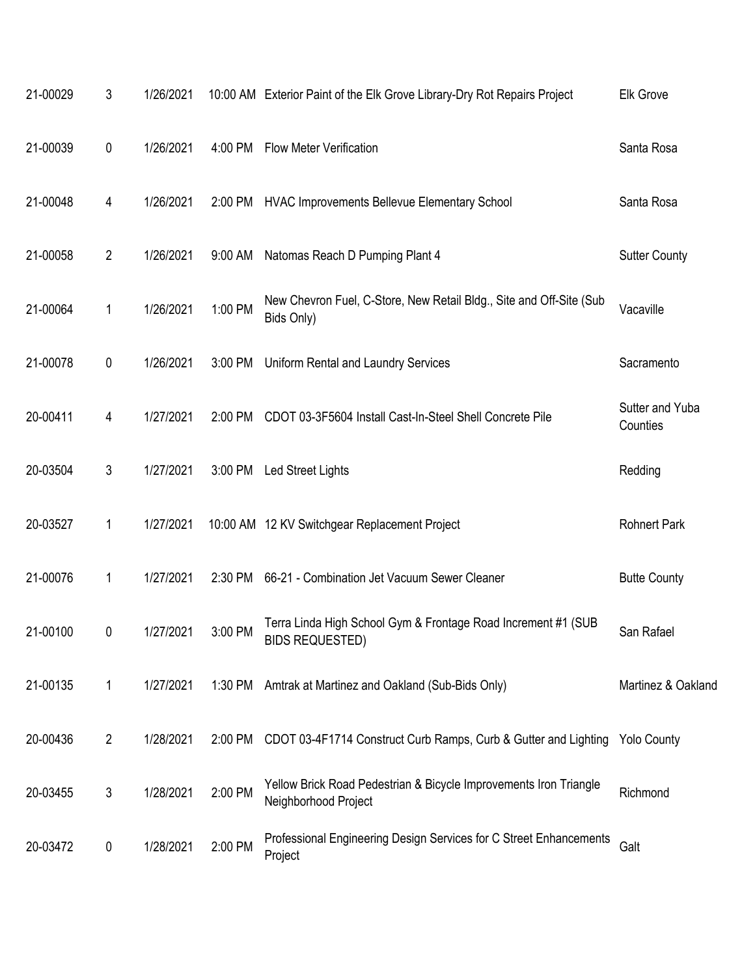| 21-00029 | 3              | 1/26/2021 |         | 10:00 AM Exterior Paint of the Elk Grove Library-Dry Rot Repairs Project                  | Elk Grove                   |
|----------|----------------|-----------|---------|-------------------------------------------------------------------------------------------|-----------------------------|
| 21-00039 | 0              | 1/26/2021 | 4:00 PM | <b>Flow Meter Verification</b>                                                            | Santa Rosa                  |
| 21-00048 | 4              | 1/26/2021 |         | 2:00 PM HVAC Improvements Bellevue Elementary School                                      | Santa Rosa                  |
| 21-00058 | $\overline{2}$ | 1/26/2021 | 9:00 AM | Natomas Reach D Pumping Plant 4                                                           | <b>Sutter County</b>        |
| 21-00064 | 1              | 1/26/2021 | 1:00 PM | New Chevron Fuel, C-Store, New Retail Bldg., Site and Off-Site (Sub<br>Bids Only)         | Vacaville                   |
| 21-00078 | 0              | 1/26/2021 | 3:00 PM | Uniform Rental and Laundry Services                                                       | Sacramento                  |
| 20-00411 | 4              | 1/27/2021 | 2:00 PM | CDOT 03-3F5604 Install Cast-In-Steel Shell Concrete Pile                                  | Sutter and Yuba<br>Counties |
| 20-03504 | 3              | 1/27/2021 |         | 3:00 PM Led Street Lights                                                                 | Redding                     |
| 20-03527 | 1              | 1/27/2021 |         | 10:00 AM 12 KV Switchgear Replacement Project                                             | <b>Rohnert Park</b>         |
| 21-00076 | 1              | 1/27/2021 | 2:30 PM | 66-21 - Combination Jet Vacuum Sewer Cleaner                                              | <b>Butte County</b>         |
| 21-00100 | 0              | 1/27/2021 | 3:00 PM | Terra Linda High School Gym & Frontage Road Increment #1 (SUB<br>BIDS REQUESTED)          | San Rafael                  |
| 21-00135 | 1              | 1/27/2021 |         | 1:30 PM Amtrak at Martinez and Oakland (Sub-Bids Only)                                    | Martinez & Oakland          |
| 20-00436 | 2              | 1/28/2021 | 2:00 PM | CDOT 03-4F1714 Construct Curb Ramps, Curb & Gutter and Lighting Yolo County               |                             |
| 20-03455 | 3              | 1/28/2021 | 2:00 PM | Yellow Brick Road Pedestrian & Bicycle Improvements Iron Triangle<br>Neighborhood Project | Richmond                    |
| 20-03472 | 0              | 1/28/2021 | 2:00 PM | Professional Engineering Design Services for C Street Enhancements<br>Project             | Galt                        |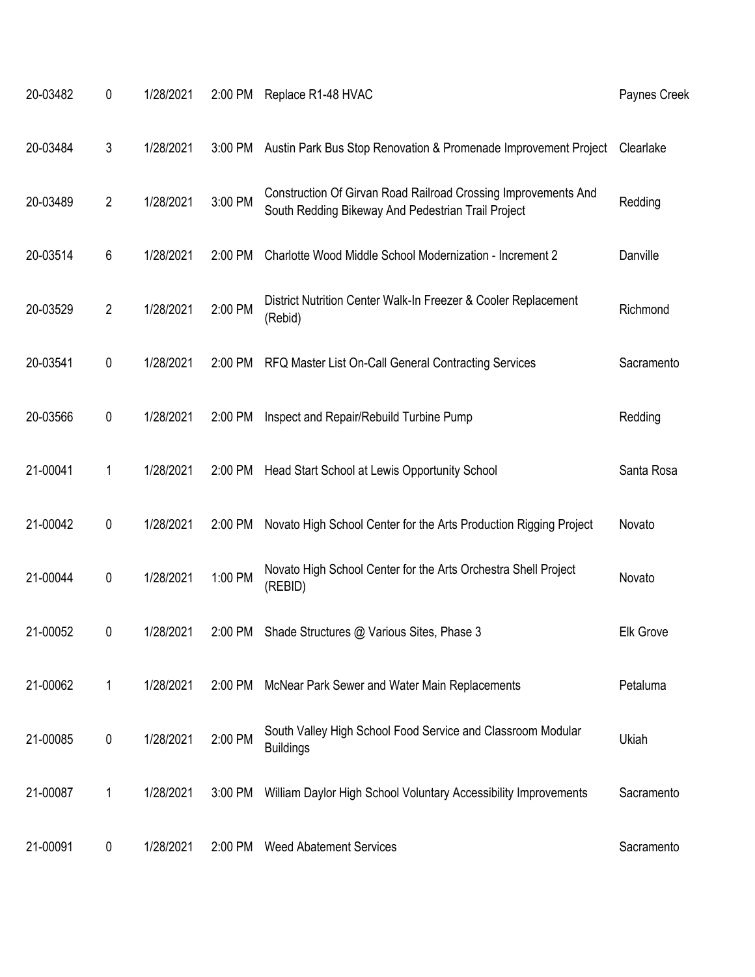| 20-03482 | $\pmb{0}$      | 1/28/2021 | 2:00 PM | Replace R1-48 HVAC                                                                                                   | Paynes Creek     |
|----------|----------------|-----------|---------|----------------------------------------------------------------------------------------------------------------------|------------------|
| 20-03484 | 3              | 1/28/2021 | 3:00 PM | Austin Park Bus Stop Renovation & Promenade Improvement Project                                                      | Clearlake        |
| 20-03489 | $\overline{2}$ | 1/28/2021 | 3:00 PM | Construction Of Girvan Road Railroad Crossing Improvements And<br>South Redding Bikeway And Pedestrian Trail Project | Redding          |
| 20-03514 | 6              | 1/28/2021 | 2:00 PM | Charlotte Wood Middle School Modernization - Increment 2                                                             | Danville         |
| 20-03529 | $\overline{2}$ | 1/28/2021 | 2:00 PM | District Nutrition Center Walk-In Freezer & Cooler Replacement<br>(Rebid)                                            | Richmond         |
| 20-03541 | $\pmb{0}$      | 1/28/2021 | 2:00 PM | RFQ Master List On-Call General Contracting Services                                                                 | Sacramento       |
| 20-03566 | $\pmb{0}$      | 1/28/2021 | 2:00 PM | Inspect and Repair/Rebuild Turbine Pump                                                                              | Redding          |
| 21-00041 | 1              | 1/28/2021 | 2:00 PM | Head Start School at Lewis Opportunity School                                                                        | Santa Rosa       |
| 21-00042 | $\pmb{0}$      | 1/28/2021 | 2:00 PM | Novato High School Center for the Arts Production Rigging Project                                                    | Novato           |
| 21-00044 | $\pmb{0}$      | 1/28/2021 | 1:00 PM | Novato High School Center for the Arts Orchestra Shell Project<br>(REBID)                                            | Novato           |
| 21-00052 | 0              | 1/28/2021 | 2:00 PM | Shade Structures @ Various Sites, Phase 3                                                                            | <b>Elk Grove</b> |
| 21-00062 | 1              | 1/28/2021 | 2:00 PM | McNear Park Sewer and Water Main Replacements                                                                        | Petaluma         |
| 21-00085 | $\pmb{0}$      | 1/28/2021 | 2:00 PM | South Valley High School Food Service and Classroom Modular<br><b>Buildings</b>                                      | Ukiah            |
| 21-00087 | 1              | 1/28/2021 | 3:00 PM | William Daylor High School Voluntary Accessibility Improvements                                                      | Sacramento       |
| 21-00091 | 0              | 1/28/2021 | 2:00 PM | <b>Weed Abatement Services</b>                                                                                       | Sacramento       |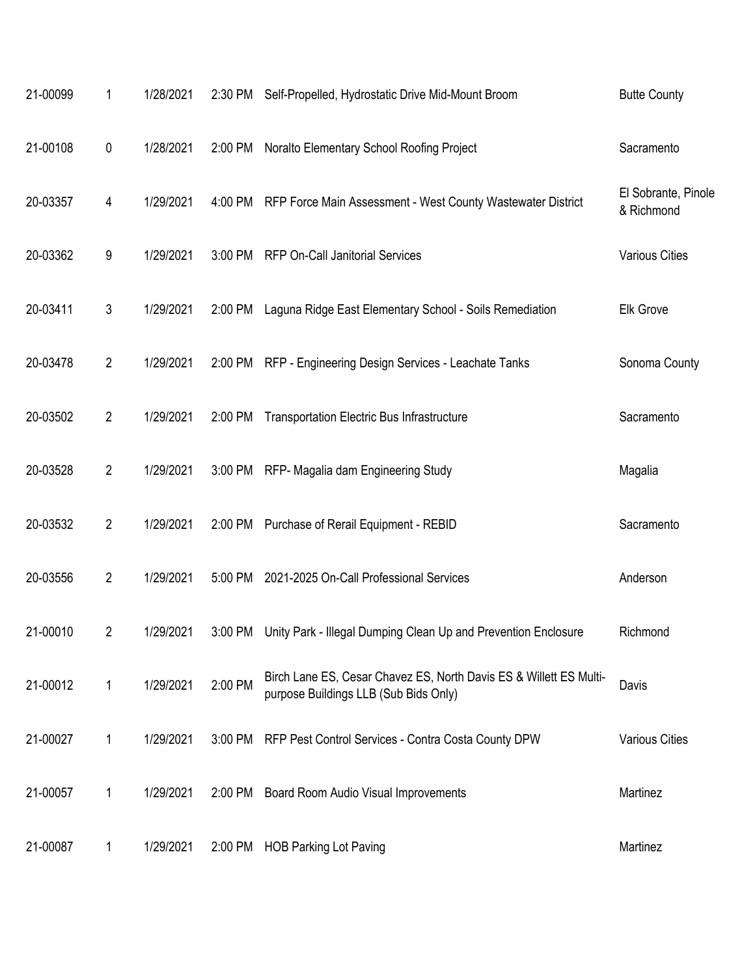| 21-00099 | 1              | 1/28/2021 |         | 2:30 PM Self-Propelled, Hydrostatic Drive Mid-Mount Broom                                                   | <b>Butte County</b>               |
|----------|----------------|-----------|---------|-------------------------------------------------------------------------------------------------------------|-----------------------------------|
| 21-00108 | $\pmb{0}$      | 1/28/2021 | 2:00 PM | Noralto Elementary School Roofing Project                                                                   | Sacramento                        |
| 20-03357 | 4              | 1/29/2021 |         | 4:00 PM RFP Force Main Assessment - West County Wastewater District                                         | El Sobrante, Pinole<br>& Richmond |
| 20-03362 | 9              | 1/29/2021 | 3:00 PM | <b>RFP On-Call Janitorial Services</b>                                                                      | <b>Various Cities</b>             |
| 20-03411 | 3              | 1/29/2021 | 2:00 PM | Laguna Ridge East Elementary School - Soils Remediation                                                     | <b>Elk Grove</b>                  |
| 20-03478 | $\overline{2}$ | 1/29/2021 | 2:00 PM | RFP - Engineering Design Services - Leachate Tanks                                                          | Sonoma County                     |
| 20-03502 | $\overline{2}$ | 1/29/2021 | 2:00 PM | <b>Transportation Electric Bus Infrastructure</b>                                                           | Sacramento                        |
| 20-03528 | $\overline{2}$ | 1/29/2021 | 3:00 PM | RFP- Magalia dam Engineering Study                                                                          | Magalia                           |
| 20-03532 | $\overline{2}$ | 1/29/2021 | 2:00 PM | Purchase of Rerail Equipment - REBID                                                                        | Sacramento                        |
| 20-03556 | $\overline{2}$ | 1/29/2021 | 5:00 PM | 2021-2025 On-Call Professional Services                                                                     | Anderson                          |
| 21-00010 | 2              | 1/29/2021 | 3:00 PM | Unity Park - Illegal Dumping Clean Up and Prevention Enclosure                                              | Richmond                          |
| 21-00012 | 1              | 1/29/2021 | 2:00 PM | Birch Lane ES, Cesar Chavez ES, North Davis ES & Willett ES Multi-<br>purpose Buildings LLB (Sub Bids Only) | Davis                             |
| 21-00027 | 1              | 1/29/2021 |         | 3:00 PM RFP Pest Control Services - Contra Costa County DPW                                                 | <b>Various Cities</b>             |
| 21-00057 | 1              | 1/29/2021 | 2:00 PM | Board Room Audio Visual Improvements                                                                        | Martinez                          |
| 21-00087 | 1              | 1/29/2021 |         | 2:00 PM HOB Parking Lot Paving                                                                              | Martinez                          |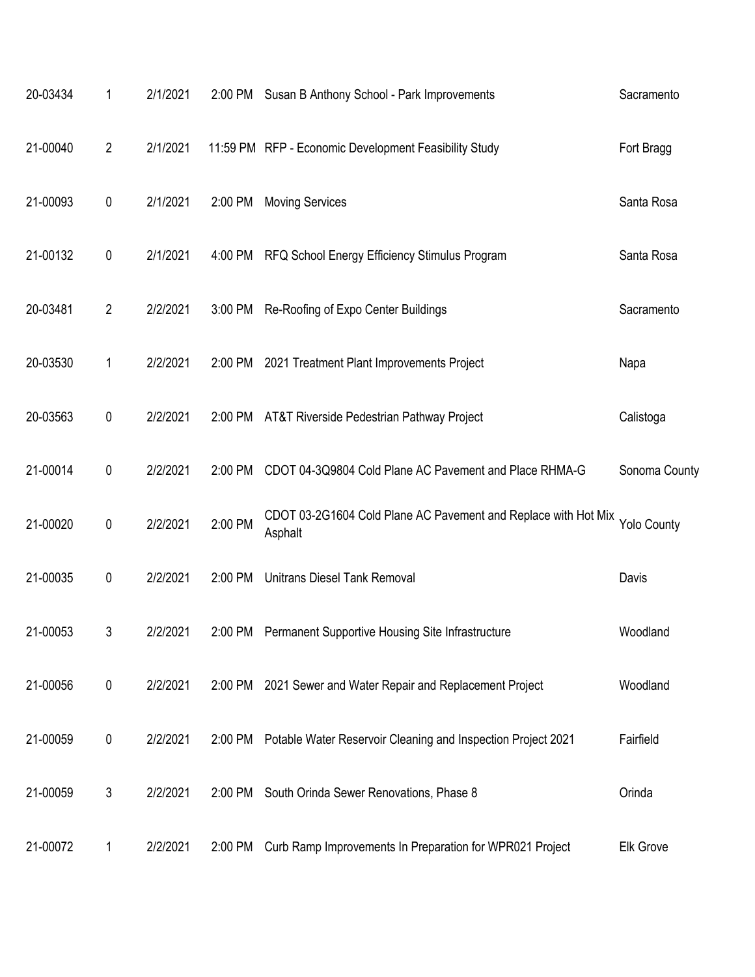| 20-03434 | 1              | 2/1/2021 |         | 2:00 PM Susan B Anthony School - Park Improvements                                    | Sacramento    |
|----------|----------------|----------|---------|---------------------------------------------------------------------------------------|---------------|
| 21-00040 | $\overline{2}$ | 2/1/2021 |         | 11:59 PM RFP - Economic Development Feasibility Study                                 | Fort Bragg    |
| 21-00093 | 0              | 2/1/2021 | 2:00 PM | <b>Moving Services</b>                                                                | Santa Rosa    |
| 21-00132 | $\pmb{0}$      | 2/1/2021 | 4:00 PM | RFQ School Energy Efficiency Stimulus Program                                         | Santa Rosa    |
| 20-03481 | $\overline{2}$ | 2/2/2021 | 3:00 PM | Re-Roofing of Expo Center Buildings                                                   | Sacramento    |
| 20-03530 | 1              | 2/2/2021 |         | 2:00 PM 2021 Treatment Plant Improvements Project                                     | Napa          |
| 20-03563 | 0              | 2/2/2021 |         | 2:00 PM AT&T Riverside Pedestrian Pathway Project                                     | Calistoga     |
| 21-00014 | $\pmb{0}$      | 2/2/2021 | 2:00 PM | CDOT 04-3Q9804 Cold Plane AC Pavement and Place RHMA-G                                | Sonoma County |
| 21-00020 | $\pmb{0}$      | 2/2/2021 | 2:00 PM | CDOT 03-2G1604 Cold Plane AC Pavement and Replace with Hot Mix Yolo County<br>Asphalt |               |
| 21-00035 | 0              | 2/2/2021 | 2:00 PM | <b>Unitrans Diesel Tank Removal</b>                                                   | Davis         |
| 21-00053 | 3              | 2/2/2021 |         | 2:00 PM Permanent Supportive Housing Site Infrastructure                              | Woodland      |
| 21-00056 | $\pmb{0}$      | 2/2/2021 |         | 2:00 PM 2021 Sewer and Water Repair and Replacement Project                           | Woodland      |
| 21-00059 | 0              | 2/2/2021 |         | 2:00 PM Potable Water Reservoir Cleaning and Inspection Project 2021                  | Fairfield     |
| 21-00059 | 3              | 2/2/2021 | 2:00 PM | South Orinda Sewer Renovations, Phase 8                                               | Orinda        |
| 21-00072 | 1              | 2/2/2021 | 2:00 PM | Curb Ramp Improvements In Preparation for WPR021 Project                              | Elk Grove     |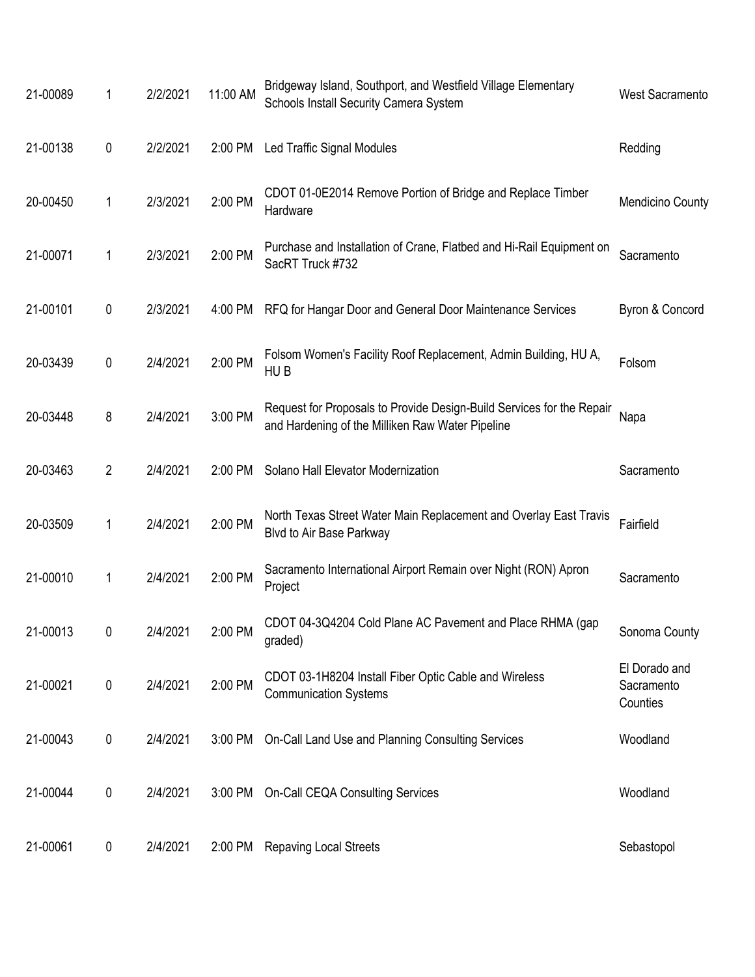| 21-00089 | 1         | 2/2/2021 | 11:00 AM | Bridgeway Island, Southport, and Westfield Village Elementary<br>Schools Install Security Camera System                   | <b>West Sacramento</b>                  |
|----------|-----------|----------|----------|---------------------------------------------------------------------------------------------------------------------------|-----------------------------------------|
| 21-00138 | 0         | 2/2/2021 | 2:00 PM  | Led Traffic Signal Modules                                                                                                | Redding                                 |
| 20-00450 | 1         | 2/3/2021 | 2:00 PM  | CDOT 01-0E2014 Remove Portion of Bridge and Replace Timber<br>Hardware                                                    | <b>Mendicino County</b>                 |
| 21-00071 | 1         | 2/3/2021 | 2:00 PM  | Purchase and Installation of Crane, Flatbed and Hi-Rail Equipment on<br>SacRT Truck #732                                  | Sacramento                              |
| 21-00101 | 0         | 2/3/2021 | 4:00 PM  | RFQ for Hangar Door and General Door Maintenance Services                                                                 | Byron & Concord                         |
| 20-03439 | 0         | 2/4/2021 | 2:00 PM  | Folsom Women's Facility Roof Replacement, Admin Building, HU A,<br>HU B                                                   | Folsom                                  |
| 20-03448 | 8         | 2/4/2021 | 3:00 PM  | Request for Proposals to Provide Design-Build Services for the Repair<br>and Hardening of the Milliken Raw Water Pipeline | Napa                                    |
| 20-03463 | 2         | 2/4/2021 | 2:00 PM  | Solano Hall Elevator Modernization                                                                                        | Sacramento                              |
| 20-03509 | 1         | 2/4/2021 | 2:00 PM  | North Texas Street Water Main Replacement and Overlay East Travis<br>Blvd to Air Base Parkway                             | Fairfield                               |
| 21-00010 | 1         | 2/4/2021 | 2:00 PM  | Sacramento International Airport Remain over Night (RON) Apron<br>Project                                                 | Sacramento                              |
| 21-00013 | 0         | 2/4/2021 | 2:00 PM  | CDOT 04-3Q4204 Cold Plane AC Pavement and Place RHMA (gap<br>graded)                                                      | Sonoma County                           |
| 21-00021 | $\pmb{0}$ | 2/4/2021 | 2:00 PM  | CDOT 03-1H8204 Install Fiber Optic Cable and Wireless<br><b>Communication Systems</b>                                     | El Dorado and<br>Sacramento<br>Counties |
| 21-00043 | $\pmb{0}$ | 2/4/2021 | 3:00 PM  | On-Call Land Use and Planning Consulting Services                                                                         | Woodland                                |
| 21-00044 | 0         | 2/4/2021 | 3:00 PM  | <b>On-Call CEQA Consulting Services</b>                                                                                   | Woodland                                |
| 21-00061 | $\pmb{0}$ | 2/4/2021 | 2:00 PM  | <b>Repaving Local Streets</b>                                                                                             | Sebastopol                              |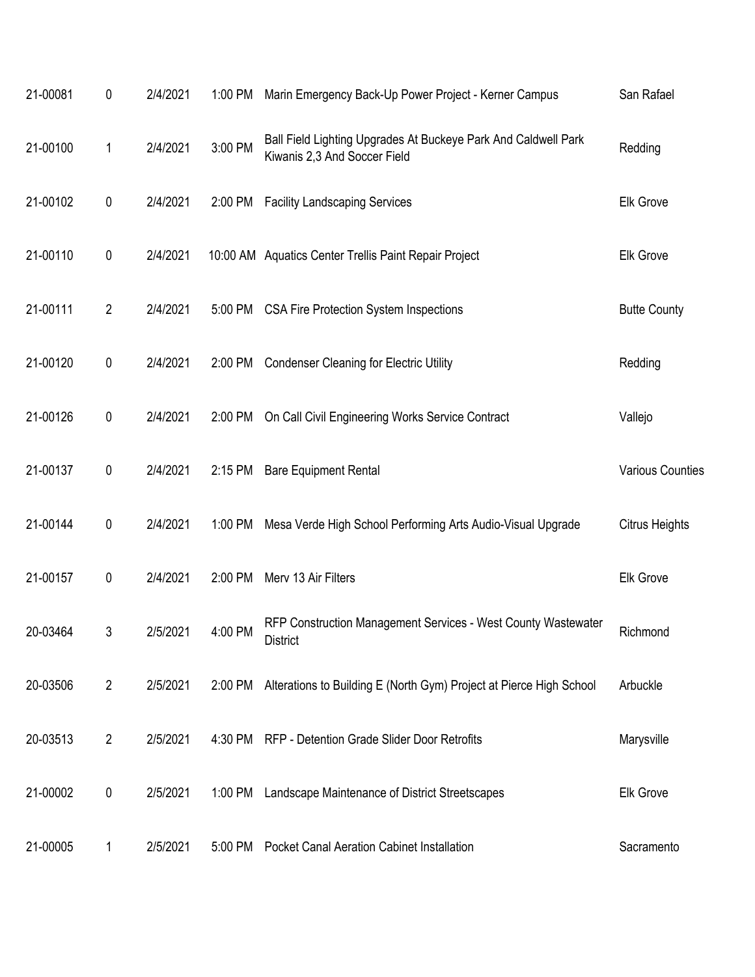| 21-00081 | 0              | 2/4/2021 | 1:00 PM | Marin Emergency Back-Up Power Project - Kerner Campus                                          | San Rafael              |
|----------|----------------|----------|---------|------------------------------------------------------------------------------------------------|-------------------------|
| 21-00100 | 1              | 2/4/2021 | 3:00 PM | Ball Field Lighting Upgrades At Buckeye Park And Caldwell Park<br>Kiwanis 2,3 And Soccer Field | Redding                 |
| 21-00102 | $\pmb{0}$      | 2/4/2021 | 2:00 PM | <b>Facility Landscaping Services</b>                                                           | Elk Grove               |
| 21-00110 | $\pmb{0}$      | 2/4/2021 |         | 10:00 AM Aquatics Center Trellis Paint Repair Project                                          | Elk Grove               |
| 21-00111 | $\overline{2}$ | 2/4/2021 | 5:00 PM | <b>CSA Fire Protection System Inspections</b>                                                  | <b>Butte County</b>     |
| 21-00120 | 0              | 2/4/2021 | 2:00 PM | <b>Condenser Cleaning for Electric Utility</b>                                                 | Redding                 |
| 21-00126 | $\pmb{0}$      | 2/4/2021 | 2:00 PM | On Call Civil Engineering Works Service Contract                                               | Vallejo                 |
| 21-00137 | $\pmb{0}$      | 2/4/2021 | 2:15 PM | <b>Bare Equipment Rental</b>                                                                   | <b>Various Counties</b> |
| 21-00144 | 0              | 2/4/2021 | 1:00 PM | Mesa Verde High School Performing Arts Audio-Visual Upgrade                                    | Citrus Heights          |
| 21-00157 | 0              | 2/4/2021 | 2:00 PM | Merv 13 Air Filters                                                                            | Elk Grove               |
| 20-03464 | 3              | 2/5/2021 | 4:00 PM | RFP Construction Management Services - West County Wastewater<br>District                      | Richmond                |
| 20-03506 | $\overline{2}$ | 2/5/2021 | 2:00 PM | Alterations to Building E (North Gym) Project at Pierce High School                            | Arbuckle                |
| 20-03513 | $\overline{2}$ | 2/5/2021 |         | 4:30 PM RFP - Detention Grade Slider Door Retrofits                                            | Marysville              |
| 21-00002 | 0              | 2/5/2021 |         | 1:00 PM Landscape Maintenance of District Streetscapes                                         | Elk Grove               |
| 21-00005 | 1              | 2/5/2021 | 5:00 PM | <b>Pocket Canal Aeration Cabinet Installation</b>                                              | Sacramento              |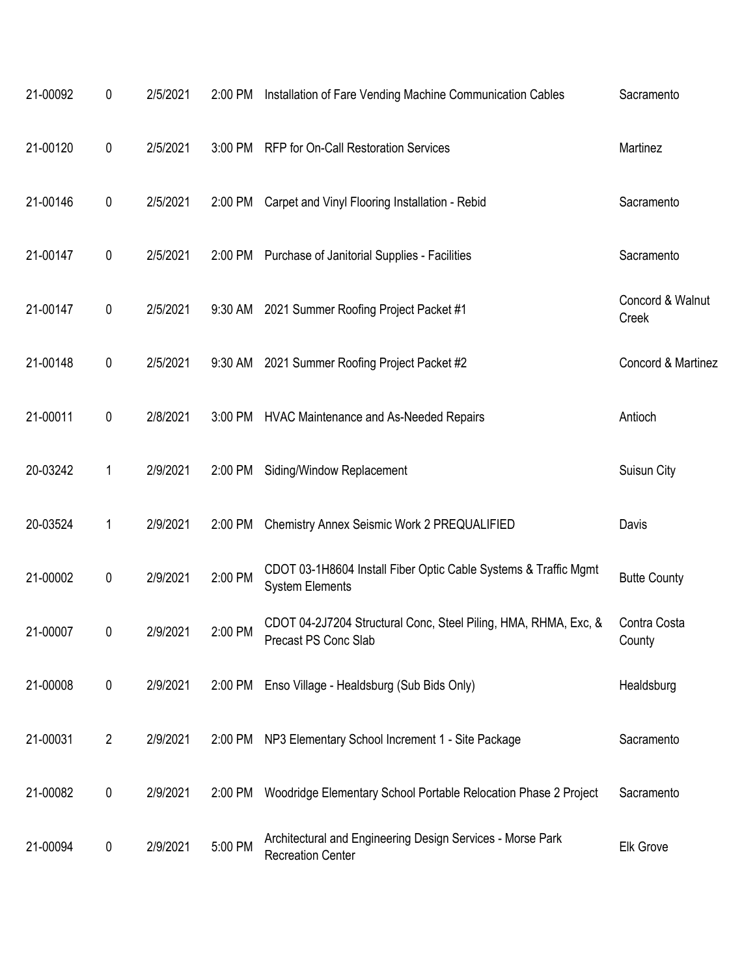| 21-00092 | 0              | 2/5/2021 | 2:00 PM | Installation of Fare Vending Machine Communication Cables                                 | Sacramento                |
|----------|----------------|----------|---------|-------------------------------------------------------------------------------------------|---------------------------|
| 21-00120 | $\pmb{0}$      | 2/5/2021 | 3:00 PM | <b>RFP for On-Call Restoration Services</b>                                               | Martinez                  |
| 21-00146 | $\pmb{0}$      | 2/5/2021 | 2:00 PM | Carpet and Vinyl Flooring Installation - Rebid                                            | Sacramento                |
| 21-00147 | 0              | 2/5/2021 | 2:00 PM | Purchase of Janitorial Supplies - Facilities                                              | Sacramento                |
| 21-00147 | $\pmb{0}$      | 2/5/2021 | 9:30 AM | 2021 Summer Roofing Project Packet #1                                                     | Concord & Walnut<br>Creek |
| 21-00148 | $\pmb{0}$      | 2/5/2021 | 9:30 AM | 2021 Summer Roofing Project Packet #2                                                     | Concord & Martinez        |
| 21-00011 | $\pmb{0}$      | 2/8/2021 | 3:00 PM | <b>HVAC Maintenance and As-Needed Repairs</b>                                             | Antioch                   |
| 20-03242 | 1              | 2/9/2021 | 2:00 PM | Siding/Window Replacement                                                                 | Suisun City               |
| 20-03524 | 1              | 2/9/2021 | 2:00 PM | Chemistry Annex Seismic Work 2 PREQUALIFIED                                               | Davis                     |
| 21-00002 | $\pmb{0}$      | 2/9/2021 | 2:00 PM | CDOT 03-1H8604 Install Fiber Optic Cable Systems & Traffic Mgmt<br><b>System Elements</b> | <b>Butte County</b>       |
| 21-00007 | 0              | 2/9/2021 | 2:00 PM | CDOT 04-2J7204 Structural Conc, Steel Piling, HMA, RHMA, Exc, &<br>Precast PS Conc Slab   | Contra Costa<br>County    |
| 21-00008 | $\pmb{0}$      | 2/9/2021 | 2:00 PM | Enso Village - Healdsburg (Sub Bids Only)                                                 | Healdsburg                |
| 21-00031 | $\overline{2}$ | 2/9/2021 | 2:00 PM | NP3 Elementary School Increment 1 - Site Package                                          | Sacramento                |
| 21-00082 | $\pmb{0}$      | 2/9/2021 | 2:00 PM | Woodridge Elementary School Portable Relocation Phase 2 Project                           | Sacramento                |
| 21-00094 | $\pmb{0}$      | 2/9/2021 | 5:00 PM | Architectural and Engineering Design Services - Morse Park<br><b>Recreation Center</b>    | Elk Grove                 |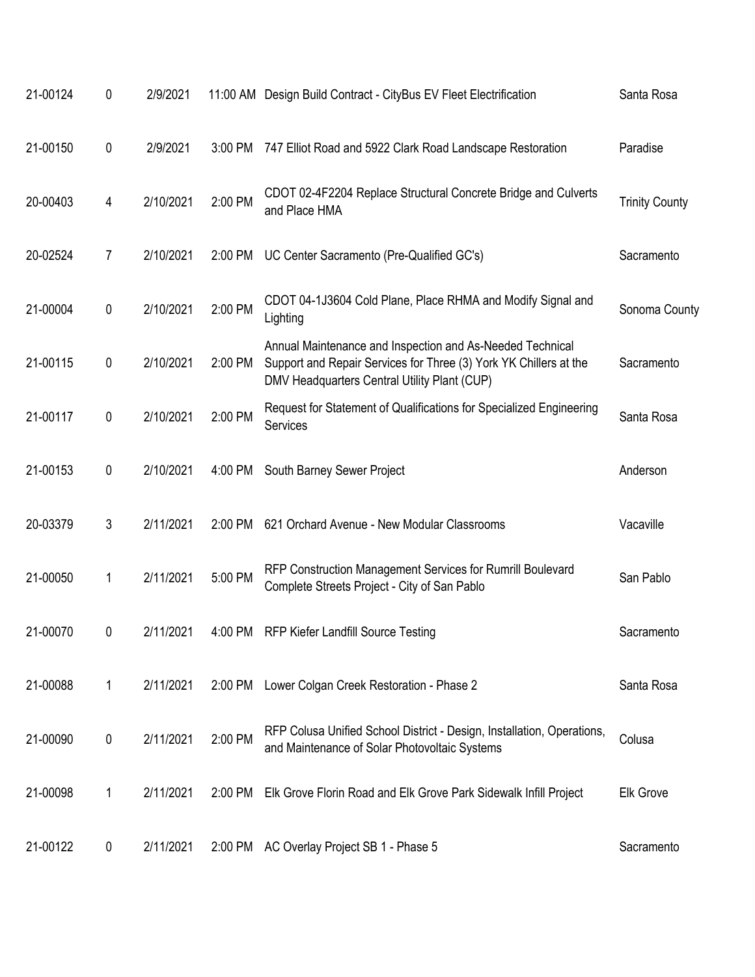| 21-00124 | 0         | 2/9/2021  |         | 11:00 AM Design Build Contract - CityBus EV Fleet Electrification                                                                                                              | Santa Rosa            |
|----------|-----------|-----------|---------|--------------------------------------------------------------------------------------------------------------------------------------------------------------------------------|-----------------------|
| 21-00150 | $\pmb{0}$ | 2/9/2021  | 3:00 PM | 747 Elliot Road and 5922 Clark Road Landscape Restoration                                                                                                                      | Paradise              |
| 20-00403 | 4         | 2/10/2021 | 2:00 PM | CDOT 02-4F2204 Replace Structural Concrete Bridge and Culverts<br>and Place HMA                                                                                                | <b>Trinity County</b> |
| 20-02524 | 7         | 2/10/2021 | 2:00 PM | UC Center Sacramento (Pre-Qualified GC's)                                                                                                                                      | Sacramento            |
| 21-00004 | $\pmb{0}$ | 2/10/2021 | 2:00 PM | CDOT 04-1J3604 Cold Plane, Place RHMA and Modify Signal and<br>Lighting                                                                                                        | Sonoma County         |
| 21-00115 | $\pmb{0}$ | 2/10/2021 | 2:00 PM | Annual Maintenance and Inspection and As-Needed Technical<br>Support and Repair Services for Three (3) York YK Chillers at the<br>DMV Headquarters Central Utility Plant (CUP) | Sacramento            |
| 21-00117 | 0         | 2/10/2021 | 2:00 PM | Request for Statement of Qualifications for Specialized Engineering<br>Services                                                                                                | Santa Rosa            |
| 21-00153 | $\pmb{0}$ | 2/10/2021 | 4:00 PM | South Barney Sewer Project                                                                                                                                                     | Anderson              |
| 20-03379 | 3         | 2/11/2021 | 2:00 PM | 621 Orchard Avenue - New Modular Classrooms                                                                                                                                    | Vacaville             |
| 21-00050 | 1         | 2/11/2021 | 5:00 PM | RFP Construction Management Services for Rumrill Boulevard<br>Complete Streets Project - City of San Pablo                                                                     | San Pablo             |
| 21-00070 | 0         | 2/11/2021 | 4:00 PM | <b>RFP Kiefer Landfill Source Testing</b>                                                                                                                                      | Sacramento            |
| 21-00088 | 1         | 2/11/2021 | 2:00 PM | Lower Colgan Creek Restoration - Phase 2                                                                                                                                       | Santa Rosa            |
| 21-00090 | 0         | 2/11/2021 | 2:00 PM | RFP Colusa Unified School District - Design, Installation, Operations,<br>and Maintenance of Solar Photovoltaic Systems                                                        | Colusa                |
| 21-00098 | 1         | 2/11/2021 | 2:00 PM | Elk Grove Florin Road and Elk Grove Park Sidewalk Infill Project                                                                                                               | <b>Elk Grove</b>      |
| 21-00122 | 0         | 2/11/2021 | 2:00 PM | AC Overlay Project SB 1 - Phase 5                                                                                                                                              | Sacramento            |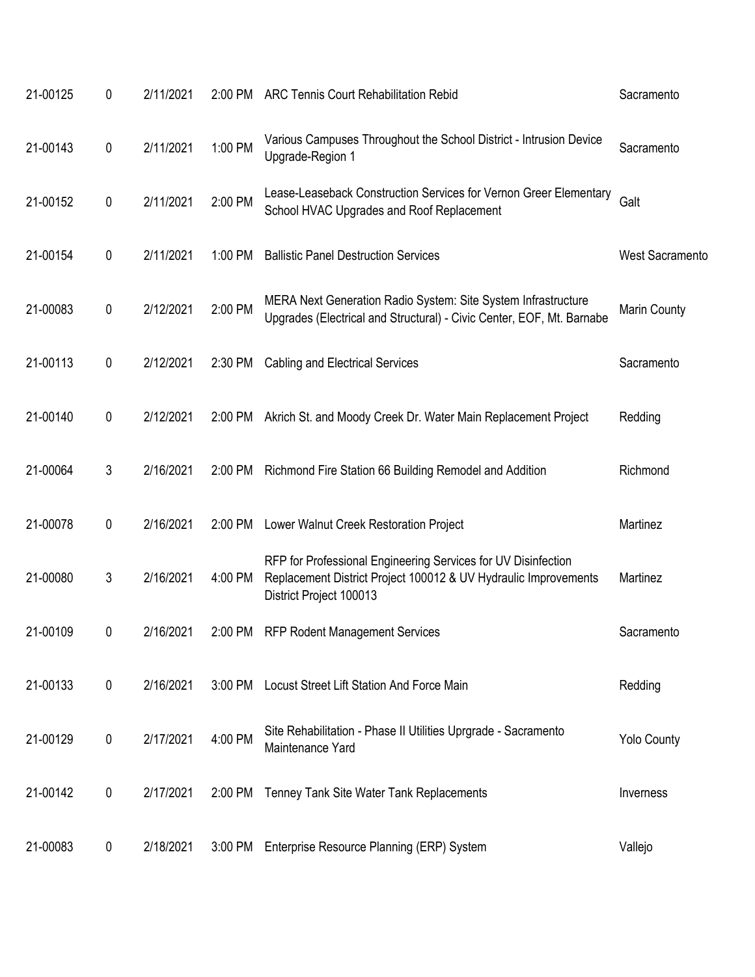| 21-00125 | 0         | 2/11/2021 |         | 2:00 PM ARC Tennis Court Rehabilitation Rebid                                                                                                               | Sacramento             |
|----------|-----------|-----------|---------|-------------------------------------------------------------------------------------------------------------------------------------------------------------|------------------------|
| 21-00143 | 0         | 2/11/2021 | 1:00 PM | Various Campuses Throughout the School District - Intrusion Device<br>Upgrade-Region 1                                                                      | Sacramento             |
| 21-00152 | 0         | 2/11/2021 | 2:00 PM | Lease-Leaseback Construction Services for Vernon Greer Elementary<br>School HVAC Upgrades and Roof Replacement                                              | Galt                   |
| 21-00154 | 0         | 2/11/2021 | 1:00 PM | <b>Ballistic Panel Destruction Services</b>                                                                                                                 | <b>West Sacramento</b> |
| 21-00083 | 0         | 2/12/2021 | 2:00 PM | MERA Next Generation Radio System: Site System Infrastructure<br>Upgrades (Electrical and Structural) - Civic Center, EOF, Mt. Barnabe                      | Marin County           |
| 21-00113 | 0         | 2/12/2021 | 2:30 PM | <b>Cabling and Electrical Services</b>                                                                                                                      | Sacramento             |
| 21-00140 | 0         | 2/12/2021 | 2:00 PM | Akrich St. and Moody Creek Dr. Water Main Replacement Project                                                                                               | Redding                |
| 21-00064 | 3         | 2/16/2021 | 2:00 PM | Richmond Fire Station 66 Building Remodel and Addition                                                                                                      | Richmond               |
| 21-00078 | 0         | 2/16/2021 | 2:00 PM | Lower Walnut Creek Restoration Project                                                                                                                      | Martinez               |
| 21-00080 | 3         | 2/16/2021 | 4:00 PM | RFP for Professional Engineering Services for UV Disinfection<br>Replacement District Project 100012 & UV Hydraulic Improvements<br>District Project 100013 | Martinez               |
| 21-00109 | 0         | 2/16/2021 | 2:00 PM | <b>RFP Rodent Management Services</b>                                                                                                                       | Sacramento             |
| 21-00133 | $\pmb{0}$ | 2/16/2021 | 3:00 PM | Locust Street Lift Station And Force Main                                                                                                                   | Redding                |
| 21-00129 | 0         | 2/17/2021 | 4:00 PM | Site Rehabilitation - Phase II Utilities Uprgrade - Sacramento<br>Maintenance Yard                                                                          | <b>Yolo County</b>     |
| 21-00142 | $\pmb{0}$ | 2/17/2021 | 2:00 PM | Tenney Tank Site Water Tank Replacements                                                                                                                    | Inverness              |
| 21-00083 | 0         | 2/18/2021 | 3:00 PM | Enterprise Resource Planning (ERP) System                                                                                                                   | Vallejo                |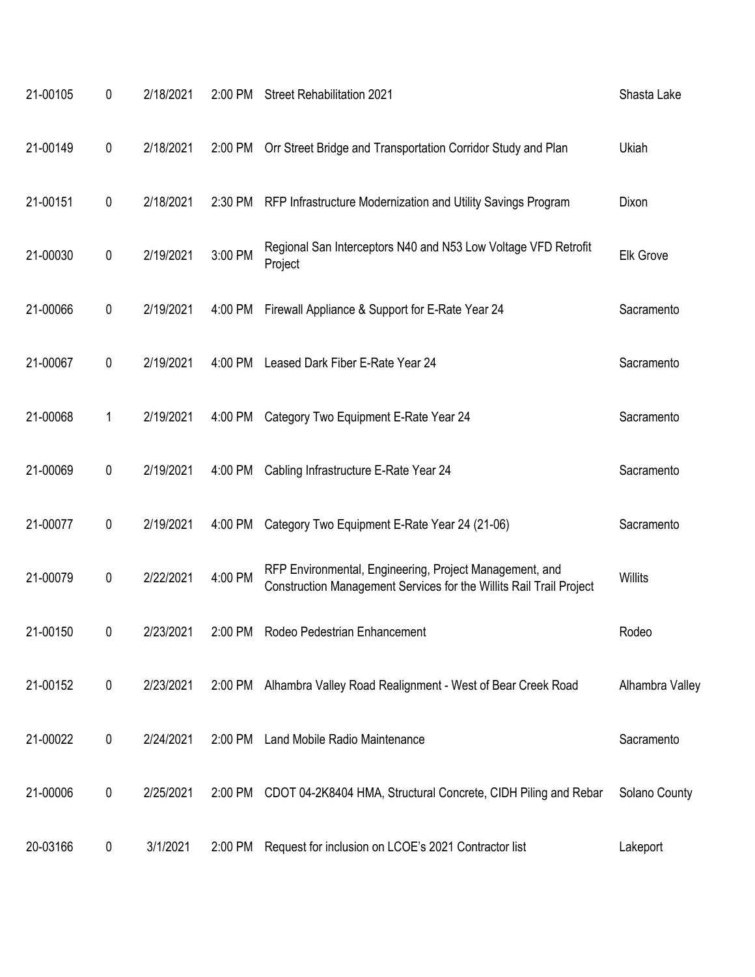| 21-00105 | 0         | 2/18/2021 | 2:00 PM | <b>Street Rehabilitation 2021</b>                                                                                              | Shasta Lake      |
|----------|-----------|-----------|---------|--------------------------------------------------------------------------------------------------------------------------------|------------------|
| 21-00149 | $\pmb{0}$ | 2/18/2021 | 2:00 PM | Orr Street Bridge and Transportation Corridor Study and Plan                                                                   | Ukiah            |
| 21-00151 | 0         | 2/18/2021 | 2:30 PM | RFP Infrastructure Modernization and Utility Savings Program                                                                   | Dixon            |
| 21-00030 | 0         | 2/19/2021 | 3:00 PM | Regional San Interceptors N40 and N53 Low Voltage VFD Retrofit<br>Project                                                      | <b>Elk Grove</b> |
| 21-00066 | 0         | 2/19/2021 | 4:00 PM | Firewall Appliance & Support for E-Rate Year 24                                                                                | Sacramento       |
| 21-00067 | 0         | 2/19/2021 | 4:00 PM | Leased Dark Fiber E-Rate Year 24                                                                                               | Sacramento       |
| 21-00068 | 1         | 2/19/2021 | 4:00 PM | Category Two Equipment E-Rate Year 24                                                                                          | Sacramento       |
| 21-00069 | 0         | 2/19/2021 | 4:00 PM | Cabling Infrastructure E-Rate Year 24                                                                                          | Sacramento       |
| 21-00077 | 0         | 2/19/2021 | 4:00 PM | Category Two Equipment E-Rate Year 24 (21-06)                                                                                  | Sacramento       |
| 21-00079 | 0         | 2/22/2021 | 4:00 PM | RFP Environmental, Engineering, Project Management, and<br>Construction Management Services for the Willits Rail Trail Project | <b>Willits</b>   |
| 21-00150 | 0         | 2/23/2021 | 2:00 PM | Rodeo Pedestrian Enhancement                                                                                                   | Rodeo            |
| 21-00152 | $\pmb{0}$ | 2/23/2021 | 2:00 PM | Alhambra Valley Road Realignment - West of Bear Creek Road                                                                     | Alhambra Valley  |
| 21-00022 | 0         | 2/24/2021 | 2:00 PM | Land Mobile Radio Maintenance                                                                                                  | Sacramento       |
| 21-00006 | 0         | 2/25/2021 | 2:00 PM | CDOT 04-2K8404 HMA, Structural Concrete, CIDH Piling and Rebar                                                                 | Solano County    |
| 20-03166 | 0         | 3/1/2021  | 2:00 PM | Request for inclusion on LCOE's 2021 Contractor list                                                                           | Lakeport         |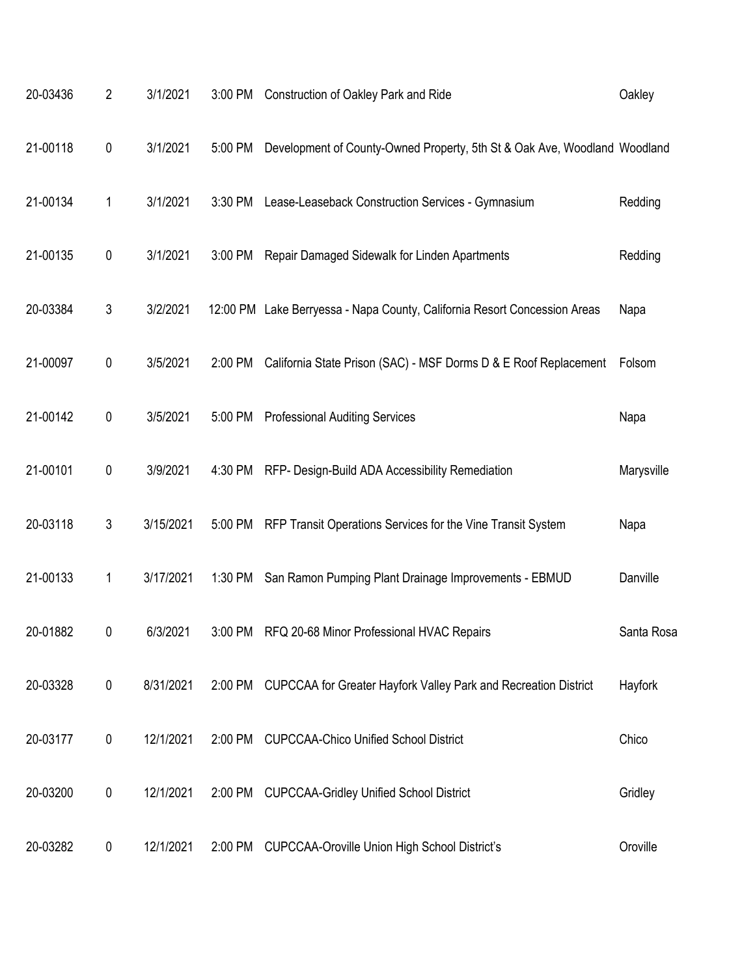| 20-03436 | $\overline{2}$ | 3/1/2021  | 3:00 PM | Construction of Oakley Park and Ride                                      | Oakley     |
|----------|----------------|-----------|---------|---------------------------------------------------------------------------|------------|
| 21-00118 | 0              | 3/1/2021  | 5:00 PM | Development of County-Owned Property, 5th St & Oak Ave, Woodland Woodland |            |
| 21-00134 | 1              | 3/1/2021  | 3:30 PM | Lease-Leaseback Construction Services - Gymnasium                         | Redding    |
| 21-00135 | 0              | 3/1/2021  | 3:00 PM | Repair Damaged Sidewalk for Linden Apartments                             | Redding    |
| 20-03384 | 3              | 3/2/2021  |         | 12:00 PM Lake Berryessa - Napa County, California Resort Concession Areas | Napa       |
| 21-00097 | 0              | 3/5/2021  | 2:00 PM | California State Prison (SAC) - MSF Dorms D & E Roof Replacement          | Folsom     |
| 21-00142 | 0              | 3/5/2021  | 5:00 PM | <b>Professional Auditing Services</b>                                     | Napa       |
| 21-00101 | 0              | 3/9/2021  | 4:30 PM | RFP- Design-Build ADA Accessibility Remediation                           | Marysville |
| 20-03118 | 3              | 3/15/2021 | 5:00 PM | RFP Transit Operations Services for the Vine Transit System               | Napa       |
| 21-00133 | 1              | 3/17/2021 | 1:30 PM | San Ramon Pumping Plant Drainage Improvements - EBMUD                     | Danville   |
| 20-01882 | 0              | 6/3/2021  | 3:00 PM | RFQ 20-68 Minor Professional HVAC Repairs                                 | Santa Rosa |
| 20-03328 | $\pmb{0}$      | 8/31/2021 | 2:00 PM | CUPCCAA for Greater Hayfork Valley Park and Recreation District           | Hayfork    |
| 20-03177 | 0              | 12/1/2021 | 2:00 PM | <b>CUPCCAA-Chico Unified School District</b>                              | Chico      |
| 20-03200 | 0              | 12/1/2021 | 2:00 PM | <b>CUPCCAA-Gridley Unified School District</b>                            | Gridley    |
| 20-03282 | 0              | 12/1/2021 | 2:00 PM | <b>CUPCCAA-Oroville Union High School District's</b>                      | Oroville   |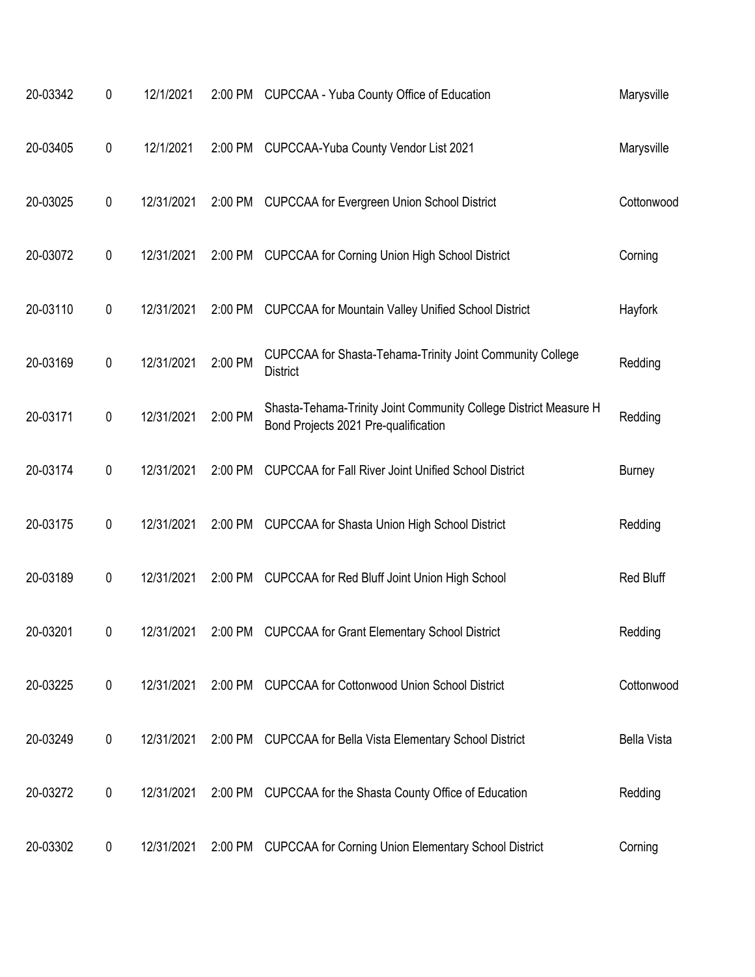| 20-03342 | 0         | 12/1/2021  |         | 2:00 PM CUPCCAA - Yuba County Office of Education                                                        | Marysville         |
|----------|-----------|------------|---------|----------------------------------------------------------------------------------------------------------|--------------------|
| 20-03405 | 0         | 12/1/2021  | 2:00 PM | CUPCCAA-Yuba County Vendor List 2021                                                                     | Marysville         |
| 20-03025 | 0         | 12/31/2021 |         | 2:00 PM CUPCCAA for Evergreen Union School District                                                      | Cottonwood         |
| 20-03072 | 0         | 12/31/2021 | 2:00 PM | <b>CUPCCAA for Corning Union High School District</b>                                                    | Corning            |
| 20-03110 | 0         | 12/31/2021 | 2:00 PM | <b>CUPCCAA for Mountain Valley Unified School District</b>                                               | Hayfork            |
| 20-03169 | 0         | 12/31/2021 | 2:00 PM | CUPCCAA for Shasta-Tehama-Trinity Joint Community College<br><b>District</b>                             | Redding            |
| 20-03171 | 0         | 12/31/2021 | 2:00 PM | Shasta-Tehama-Trinity Joint Community College District Measure H<br>Bond Projects 2021 Pre-qualification | Redding            |
| 20-03174 | 0         | 12/31/2021 | 2:00 PM | <b>CUPCCAA for Fall River Joint Unified School District</b>                                              | <b>Burney</b>      |
| 20-03175 | $\pmb{0}$ | 12/31/2021 | 2:00 PM | <b>CUPCCAA for Shasta Union High School District</b>                                                     | Redding            |
| 20-03189 | 0         | 12/31/2021 | 2:00 PM | <b>CUPCCAA for Red Bluff Joint Union High School</b>                                                     | Red Bluff          |
| 20-03201 | 0         | 12/31/2021 | 2:00 PM | <b>CUPCCAA for Grant Elementary School District</b>                                                      | Redding            |
| 20-03225 | 0         | 12/31/2021 | 2:00 PM | <b>CUPCCAA for Cottonwood Union School District</b>                                                      | Cottonwood         |
| 20-03249 | 0         | 12/31/2021 |         | 2:00 PM CUPCCAA for Bella Vista Elementary School District                                               | <b>Bella Vista</b> |
| 20-03272 | 0         | 12/31/2021 | 2:00 PM | CUPCCAA for the Shasta County Office of Education                                                        | Redding            |
| 20-03302 | 0         | 12/31/2021 | 2:00 PM | <b>CUPCCAA for Corning Union Elementary School District</b>                                              | Corning            |